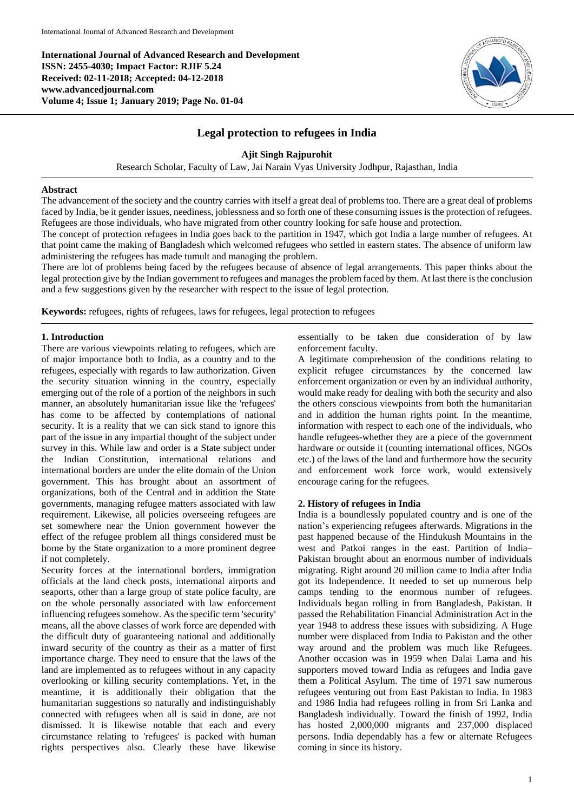**International Journal of Advanced Research and Development ISSN: 2455-4030; Impact Factor: RJIF 5.24 Received: 02-11-2018; Accepted: 04-12-2018 www.advancedjournal.com Volume 4; Issue 1; January 2019; Page No. 01-04**



# **Legal protection to refugees in India**

# **Ajit Singh Rajpurohit**

Research Scholar, Faculty of Law, Jai Narain Vyas University Jodhpur, Rajasthan, India

#### **Abstract**

The advancement of the society and the country carries with itself a great deal of problems too. There are a great deal of problems faced by India, be it gender issues, neediness, joblessness and so forth one of these consuming issues is the protection of refugees. Refugees are those individuals, who have migrated from other country looking for safe house and protection.

The concept of protection refugees in India goes back to the partition in 1947, which got India a large number of refugees. At that point came the making of Bangladesh which welcomed refugees who settled in eastern states. The absence of uniform law administering the refugees has made tumult and managing the problem.

There are lot of problems being faced by the refugees because of absence of legal arrangements. This paper thinks about the legal protection give by the Indian government to refugees and manages the problem faced by them. At last there is the conclusion and a few suggestions given by the researcher with respect to the issue of legal protection.

**Keywords:** refugees, rights of refugees, laws for refugees, legal protection to refugees

#### **1. Introduction**

There are various viewpoints relating to refugees, which are of major importance both to India, as a country and to the refugees, especially with regards to law authorization. Given the security situation winning in the country, especially emerging out of the role of a portion of the neighbors in such manner, an absolutely humanitarian issue like the 'refugees' has come to be affected by contemplations of national security. It is a reality that we can sick stand to ignore this part of the issue in any impartial thought of the subject under survey in this. While law and order is a State subject under the Indian Constitution, international relations and international borders are under the elite domain of the Union government. This has brought about an assortment of organizations, both of the Central and in addition the State governments, managing refugee matters associated with law requirement. Likewise, all policies overseeing refugees are set somewhere near the Union government however the effect of the refugee problem all things considered must be borne by the State organization to a more prominent degree if not completely.

Security forces at the international borders, immigration officials at the land check posts, international airports and seaports, other than a large group of state police faculty, are on the whole personally associated with law enforcement influencing refugees somehow. As the specific term 'security' means, all the above classes of work force are depended with the difficult duty of guaranteeing national and additionally inward security of the country as their as a matter of first importance charge. They need to ensure that the laws of the land are implemented as to refugees without in any capacity overlooking or killing security contemplations. Yet, in the meantime, it is additionally their obligation that the humanitarian suggestions so naturally and indistinguishably connected with refugees when all is said in done, are not dismissed. It is likewise notable that each and every circumstance relating to 'refugees' is packed with human rights perspectives also. Clearly these have likewise

essentially to be taken due consideration of by law enforcement faculty.

A legitimate comprehension of the conditions relating to explicit refugee circumstances by the concerned law enforcement organization or even by an individual authority, would make ready for dealing with both the security and also the others conscious viewpoints from both the humanitarian and in addition the human rights point. In the meantime, information with respect to each one of the individuals, who handle refugees-whether they are a piece of the government hardware or outside it (counting international offices, NGOs etc.) of the laws of the land and furthermore how the security and enforcement work force work, would extensively encourage caring for the refugees.

### **2. History of refugees in India**

India is a boundlessly populated country and is one of the nation's experiencing refugees afterwards. Migrations in the past happened because of the Hindukush Mountains in the west and Patkoi ranges in the east. Partition of India– Pakistan brought about an enormous number of individuals migrating. Right around 20 million came to India after India got its Independence. It needed to set up numerous help camps tending to the enormous number of refugees. Individuals began rolling in from Bangladesh, Pakistan. It passed the Rehabilitation Financial Administration Act in the year 1948 to address these issues with subsidizing. A Huge number were displaced from India to Pakistan and the other way around and the problem was much like Refugees. Another occasion was in 1959 when Dalai Lama and his supporters moved toward India as refugees and India gave them a Political Asylum. The time of 1971 saw numerous refugees venturing out from East Pakistan to India. In 1983 and 1986 India had refugees rolling in from Sri Lanka and Bangladesh individually. Toward the finish of 1992, India has hosted 2,000,000 migrants and 237,000 displaced persons. India dependably has a few or alternate Refugees coming in since its history.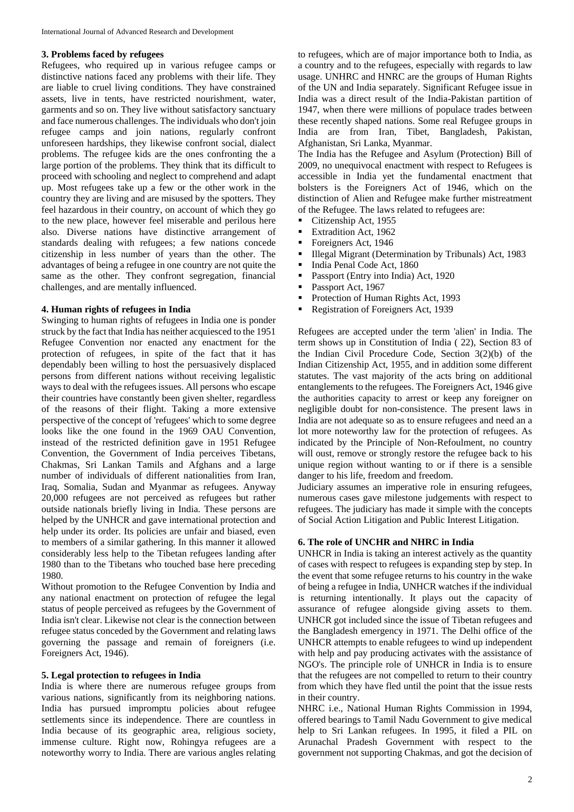#### **3. Problems faced by refugees**

Refugees, who required up in various refugee camps or distinctive nations faced any problems with their life. They are liable to cruel living conditions. They have constrained assets, live in tents, have restricted nourishment, water, garments and so on. They live without satisfactory sanctuary and face numerous challenges. The individuals who don't join refugee camps and join nations, regularly confront unforeseen hardships, they likewise confront social, dialect problems. The refugee kids are the ones confronting the a large portion of the problems. They think that its difficult to proceed with schooling and neglect to comprehend and adapt up. Most refugees take up a few or the other work in the country they are living and are misused by the spotters. They feel hazardous in their country, on account of which they go to the new place, however feel miserable and perilous here also. Diverse nations have distinctive arrangement of standards dealing with refugees; a few nations concede citizenship in less number of years than the other. The advantages of being a refugee in one country are not quite the same as the other. They confront segregation, financial challenges, and are mentally influenced.

## **4. Human rights of refugees in India**

Swinging to human rights of refugees in India one is ponder struck by the fact that India has neither acquiesced to the 1951 Refugee Convention nor enacted any enactment for the protection of refugees, in spite of the fact that it has dependably been willing to host the persuasively displaced persons from different nations without receiving legalistic ways to deal with the refugees issues. All persons who escape their countries have constantly been given shelter, regardless of the reasons of their flight. Taking a more extensive perspective of the concept of 'refugees' which to some degree looks like the one found in the 1969 OAU Convention, instead of the restricted definition gave in 1951 Refugee Convention, the Government of India perceives Tibetans, Chakmas, Sri Lankan Tamils and Afghans and a large number of individuals of different nationalities from Iran, Iraq, Somalia, Sudan and Myanmar as refugees. Anyway 20,000 refugees are not perceived as refugees but rather outside nationals briefly living in India. These persons are helped by the UNHCR and gave international protection and help under its order. Its policies are unfair and biased, even to members of a similar gathering. In this manner it allowed considerably less help to the Tibetan refugees landing after 1980 than to the Tibetans who touched base here preceding 1980.

Without promotion to the Refugee Convention by India and any national enactment on protection of refugee the legal status of people perceived as refugees by the Government of India isn't clear. Likewise not clear is the connection between refugee status conceded by the Government and relating laws governing the passage and remain of foreigners (i.e. Foreigners Act, 1946).

#### **5. Legal protection to refugees in India**

India is where there are numerous refugee groups from various nations, significantly from its neighboring nations. India has pursued impromptu policies about refugee settlements since its independence. There are countless in India because of its geographic area, religious society, immense culture. Right now, Rohingya refugees are a noteworthy worry to India. There are various angles relating

to refugees, which are of major importance both to India, as a country and to the refugees, especially with regards to law usage. UNHRC and HNRC are the groups of Human Rights of the UN and India separately. Significant Refugee issue in India was a direct result of the India-Pakistan partition of 1947, when there were millions of populace trades between these recently shaped nations. Some real Refugee groups in India are from Iran, Tibet, Bangladesh, Pakistan, Afghanistan, Sri Lanka, Myanmar.

The India has the Refugee and Asylum (Protection) Bill of 2009, no unequivocal enactment with respect to Refugees is accessible in India yet the fundamental enactment that bolsters is the Foreigners Act of 1946, which on the distinction of Alien and Refugee make further mistreatment of the Refugee. The laws related to refugees are:

- Citizenship Act, 1955
- Extradition Act, 1962
- Foreigners Act, 1946
- Illegal Migrant (Determination by Tribunals) Act, 1983
- India Penal Code Act, 1860
- **Passport (Entry into India) Act, 1920**
- Passport Act, 1967
- Protection of Human Rights Act, 1993
- Registration of Foreigners Act, 1939

Refugees are accepted under the term 'alien' in India. The term shows up in Constitution of India ( 22), Section 83 of the Indian Civil Procedure Code, Section 3(2)(b) of the Indian Citizenship Act, 1955, and in addition some different statutes. The vast majority of the acts bring on additional entanglements to the refugees. The Foreigners Act, 1946 give the authorities capacity to arrest or keep any foreigner on negligible doubt for non-consistence. The present laws in India are not adequate so as to ensure refugees and need an a lot more noteworthy law for the protection of refugees. As indicated by the Principle of Non-Refoulment, no country will oust, remove or strongly restore the refugee back to his unique region without wanting to or if there is a sensible danger to his life, freedom and freedom.

Judiciary assumes an imperative role in ensuring refugees, numerous cases gave milestone judgements with respect to refugees. The judiciary has made it simple with the concepts of Social Action Litigation and Public Interest Litigation.

## **6. The role of UNCHR and NHRC in India**

UNHCR in India is taking an interest actively as the quantity of cases with respect to refugees is expanding step by step. In the event that some refugee returns to his country in the wake of being a refugee in India, UNHCR watches if the individual is returning intentionally. It plays out the capacity of assurance of refugee alongside giving assets to them. UNHCR got included since the issue of Tibetan refugees and the Bangladesh emergency in 1971. The Delhi office of the UNHCR attempts to enable refugees to wind up independent with help and pay producing activates with the assistance of NGO's. The principle role of UNHCR in India is to ensure that the refugees are not compelled to return to their country from which they have fled until the point that the issue rests in their country.

NHRC i.e., National Human Rights Commission in 1994, offered bearings to Tamil Nadu Government to give medical help to Sri Lankan refugees. In 1995, it filed a PIL on Arunachal Pradesh Government with respect to the government not supporting Chakmas, and got the decision of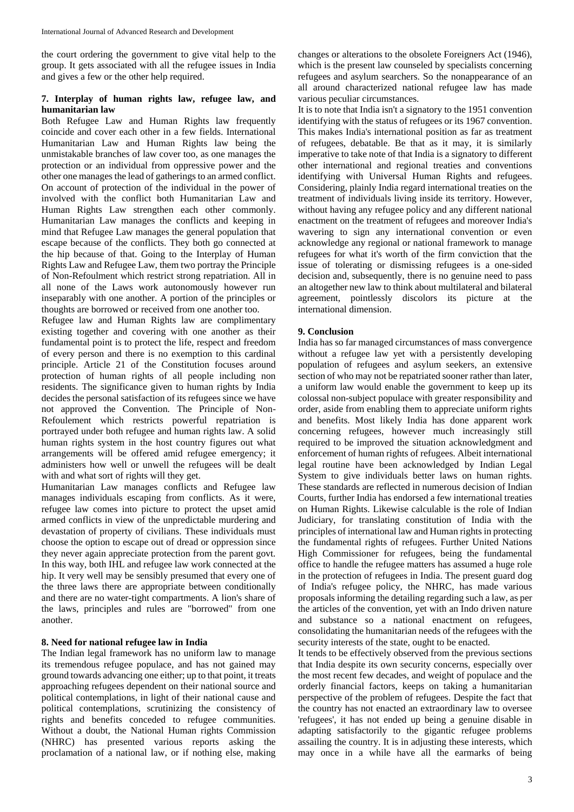the court ordering the government to give vital help to the group. It gets associated with all the refugee issues in India and gives a few or the other help required.

# **7. Interplay of human rights law, refugee law, and humanitarian law**

Both Refugee Law and Human Rights law frequently coincide and cover each other in a few fields. International Humanitarian Law and Human Rights law being the unmistakable branches of law cover too, as one manages the protection or an individual from oppressive power and the other one manages the lead of gatherings to an armed conflict. On account of protection of the individual in the power of involved with the conflict both Humanitarian Law and Human Rights Law strengthen each other commonly. Humanitarian Law manages the conflicts and keeping in mind that Refugee Law manages the general population that escape because of the conflicts. They both go connected at the hip because of that. Going to the Interplay of Human Rights Law and Refugee Law, them two portray the Principle of Non-Refoulment which restrict strong repatriation. All in all none of the Laws work autonomously however run inseparably with one another. A portion of the principles or thoughts are borrowed or received from one another too.

Refugee law and Human Rights law are complimentary existing together and covering with one another as their fundamental point is to protect the life, respect and freedom of every person and there is no exemption to this cardinal principle. Article 21 of the Constitution focuses around protection of human rights of all people including non residents. The significance given to human rights by India decides the personal satisfaction of its refugees since we have not approved the Convention. The Principle of Non-Refoulement which restricts powerful repatriation is portrayed under both refugee and human rights law. A solid human rights system in the host country figures out what arrangements will be offered amid refugee emergency; it administers how well or unwell the refugees will be dealt with and what sort of rights will they get.

Humanitarian Law manages conflicts and Refugee law manages individuals escaping from conflicts. As it were, refugee law comes into picture to protect the upset amid armed conflicts in view of the unpredictable murdering and devastation of property of civilians. These individuals must choose the option to escape out of dread or oppression since they never again appreciate protection from the parent govt. In this way, both IHL and refugee law work connected at the hip. It very well may be sensibly presumed that every one of the three laws there are appropriate between conditionally and there are no water-tight compartments. A lion's share of the laws, principles and rules are "borrowed" from one another.

# **8. Need for national refugee law in India**

The Indian legal framework has no uniform law to manage its tremendous refugee populace, and has not gained may ground towards advancing one either; up to that point, it treats approaching refugees dependent on their national source and political contemplations, in light of their national cause and political contemplations, scrutinizing the consistency of rights and benefits conceded to refugee communities. Without a doubt, the National Human rights Commission (NHRC) has presented various reports asking the proclamation of a national law, or if nothing else, making

changes or alterations to the obsolete Foreigners Act (1946), which is the present law counseled by specialists concerning refugees and asylum searchers. So the nonappearance of an all around characterized national refugee law has made various peculiar circumstances.

It is to note that India isn't a signatory to the 1951 convention identifying with the status of refugees or its 1967 convention. This makes India's international position as far as treatment of refugees, debatable. Be that as it may, it is similarly imperative to take note of that India is a signatory to different other international and regional treaties and conventions identifying with Universal Human Rights and refugees. Considering, plainly India regard international treaties on the treatment of individuals living inside its territory. However, without having any refugee policy and any different national enactment on the treatment of refugees and moreover India's wavering to sign any international convention or even acknowledge any regional or national framework to manage refugees for what it's worth of the firm conviction that the issue of tolerating or dismissing refugees is a one-sided decision and, subsequently, there is no genuine need to pass an altogether new law to think about multilateral and bilateral agreement, pointlessly discolors its picture at the international dimension.

## **9. Conclusion**

India has so far managed circumstances of mass convergence without a refugee law yet with a persistently developing population of refugees and asylum seekers, an extensive section of who may not be repatriated sooner rather than later, a uniform law would enable the government to keep up its colossal non-subject populace with greater responsibility and order, aside from enabling them to appreciate uniform rights and benefits. Most likely India has done apparent work concerning refugees, however much increasingly still required to be improved the situation acknowledgment and enforcement of human rights of refugees. Albeit international legal routine have been acknowledged by Indian Legal System to give individuals better laws on human rights. These standards are reflected in numerous decision of Indian Courts, further India has endorsed a few international treaties on Human Rights. Likewise calculable is the role of Indian Judiciary, for translating constitution of India with the principles of international law and Human rights in protecting the fundamental rights of refugees. Further United Nations High Commissioner for refugees, being the fundamental office to handle the refugee matters has assumed a huge role in the protection of refugees in India. The present guard dog of India's refugee policy, the NHRC, has made various proposals informing the detailing regarding such a law, as per the articles of the convention, yet with an Indo driven nature and substance so a national enactment on refugees, consolidating the humanitarian needs of the refugees with the security interests of the state, ought to be enacted.

It tends to be effectively observed from the previous sections that India despite its own security concerns, especially over the most recent few decades, and weight of populace and the orderly financial factors, keeps on taking a humanitarian perspective of the problem of refugees. Despite the fact that the country has not enacted an extraordinary law to oversee 'refugees', it has not ended up being a genuine disable in adapting satisfactorily to the gigantic refugee problems assailing the country. It is in adjusting these interests, which may once in a while have all the earmarks of being